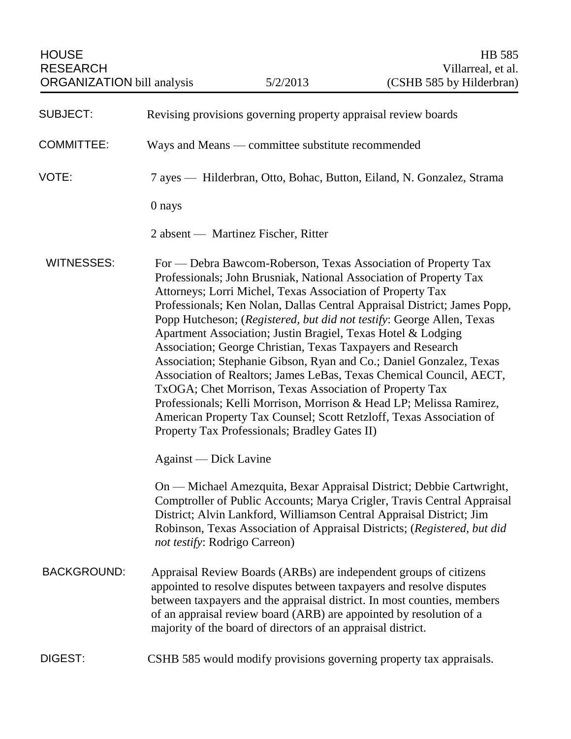| <b>HOUSE</b><br><b>RESEARCH</b><br><b>ORGANIZATION</b> bill analysis |                                                                                                                                                                                                                                                                                                                                                                                                                                                                                                                                                                                                                                                                                                                                                                                                                                                                                                | 5/2/2013                                                     | <b>HB</b> 585<br>Villarreal, et al.<br>(CSHB 585 by Hilderbran)                                                                                                                                                                                                                                     |
|----------------------------------------------------------------------|------------------------------------------------------------------------------------------------------------------------------------------------------------------------------------------------------------------------------------------------------------------------------------------------------------------------------------------------------------------------------------------------------------------------------------------------------------------------------------------------------------------------------------------------------------------------------------------------------------------------------------------------------------------------------------------------------------------------------------------------------------------------------------------------------------------------------------------------------------------------------------------------|--------------------------------------------------------------|-----------------------------------------------------------------------------------------------------------------------------------------------------------------------------------------------------------------------------------------------------------------------------------------------------|
| <b>SUBJECT:</b>                                                      | Revising provisions governing property appraisal review boards                                                                                                                                                                                                                                                                                                                                                                                                                                                                                                                                                                                                                                                                                                                                                                                                                                 |                                                              |                                                                                                                                                                                                                                                                                                     |
| <b>COMMITTEE:</b>                                                    | Ways and Means — committee substitute recommended                                                                                                                                                                                                                                                                                                                                                                                                                                                                                                                                                                                                                                                                                                                                                                                                                                              |                                                              |                                                                                                                                                                                                                                                                                                     |
| VOTE:                                                                | 7 ayes — Hilderbran, Otto, Bohac, Button, Eiland, N. Gonzalez, Strama                                                                                                                                                                                                                                                                                                                                                                                                                                                                                                                                                                                                                                                                                                                                                                                                                          |                                                              |                                                                                                                                                                                                                                                                                                     |
|                                                                      | 0 nays                                                                                                                                                                                                                                                                                                                                                                                                                                                                                                                                                                                                                                                                                                                                                                                                                                                                                         |                                                              |                                                                                                                                                                                                                                                                                                     |
|                                                                      |                                                                                                                                                                                                                                                                                                                                                                                                                                                                                                                                                                                                                                                                                                                                                                                                                                                                                                | 2 absent — Martinez Fischer, Ritter                          |                                                                                                                                                                                                                                                                                                     |
| <b>WITNESSES:</b>                                                    | For — Debra Bawcom-Roberson, Texas Association of Property Tax<br>Professionals; John Brusniak, National Association of Property Tax<br>Attorneys; Lorri Michel, Texas Association of Property Tax<br>Professionals; Ken Nolan, Dallas Central Appraisal District; James Popp,<br>Popp Hutcheson; (Registered, but did not testify: George Allen, Texas<br>Apartment Association; Justin Bragiel, Texas Hotel & Lodging<br>Association; George Christian, Texas Taxpayers and Research<br>Association; Stephanie Gibson, Ryan and Co.; Daniel Gonzalez, Texas<br>Association of Realtors; James LeBas, Texas Chemical Council, AECT,<br>TxOGA; Chet Morrison, Texas Association of Property Tax<br>Professionals; Kelli Morrison, Morrison & Head LP; Melissa Ramirez,<br>American Property Tax Counsel; Scott Retzloff, Texas Association of<br>Property Tax Professionals; Bradley Gates II) |                                                              |                                                                                                                                                                                                                                                                                                     |
|                                                                      | Against — Dick Lavine                                                                                                                                                                                                                                                                                                                                                                                                                                                                                                                                                                                                                                                                                                                                                                                                                                                                          |                                                              |                                                                                                                                                                                                                                                                                                     |
|                                                                      | not testify: Rodrigo Carreon)                                                                                                                                                                                                                                                                                                                                                                                                                                                                                                                                                                                                                                                                                                                                                                                                                                                                  |                                                              | On — Michael Amezquita, Bexar Appraisal District; Debbie Cartwright,<br>Comptroller of Public Accounts; Marya Crigler, Travis Central Appraisal<br>District; Alvin Lankford, Williamson Central Appraisal District; Jim<br>Robinson, Texas Association of Appraisal Districts; (Registered, but did |
| <b>BACKGROUND:</b>                                                   |                                                                                                                                                                                                                                                                                                                                                                                                                                                                                                                                                                                                                                                                                                                                                                                                                                                                                                | majority of the board of directors of an appraisal district. | Appraisal Review Boards (ARBs) are independent groups of citizens<br>appointed to resolve disputes between taxpayers and resolve disputes<br>between taxpayers and the appraisal district. In most counties, members<br>of an appraisal review board (ARB) are appointed by resolution of a         |
| DIGEST:                                                              |                                                                                                                                                                                                                                                                                                                                                                                                                                                                                                                                                                                                                                                                                                                                                                                                                                                                                                |                                                              | CSHB 585 would modify provisions governing property tax appraisals.                                                                                                                                                                                                                                 |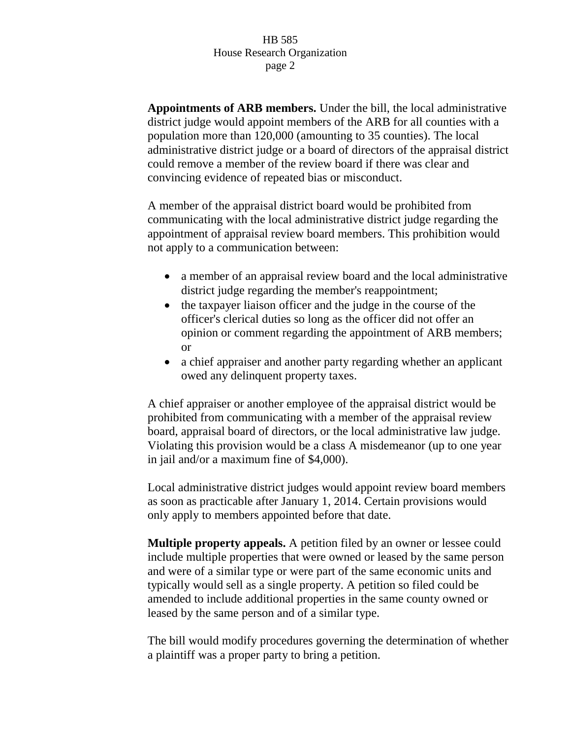**Appointments of ARB members.** Under the bill, the local administrative district judge would appoint members of the ARB for all counties with a population more than 120,000 (amounting to 35 counties). The local administrative district judge or a board of directors of the appraisal district could remove a member of the review board if there was clear and convincing evidence of repeated bias or misconduct.

A member of the appraisal district board would be prohibited from communicating with the local administrative district judge regarding the appointment of appraisal review board members. This prohibition would not apply to a communication between:

- a member of an appraisal review board and the local administrative district judge regarding the member's reappointment;
- the taxpayer liaison officer and the judge in the course of the officer's clerical duties so long as the officer did not offer an opinion or comment regarding the appointment of ARB members; or
- a chief appraiser and another party regarding whether an applicant owed any delinquent property taxes.

A chief appraiser or another employee of the appraisal district would be prohibited from communicating with a member of the appraisal review board, appraisal board of directors, or the local administrative law judge. Violating this provision would be a class A misdemeanor (up to one year in jail and/or a maximum fine of \$4,000).

Local administrative district judges would appoint review board members as soon as practicable after January 1, 2014. Certain provisions would only apply to members appointed before that date.

**Multiple property appeals.** A petition filed by an owner or lessee could include multiple properties that were owned or leased by the same person and were of a similar type or were part of the same economic units and typically would sell as a single property. A petition so filed could be amended to include additional properties in the same county owned or leased by the same person and of a similar type.

The bill would modify procedures governing the determination of whether a plaintiff was a proper party to bring a petition.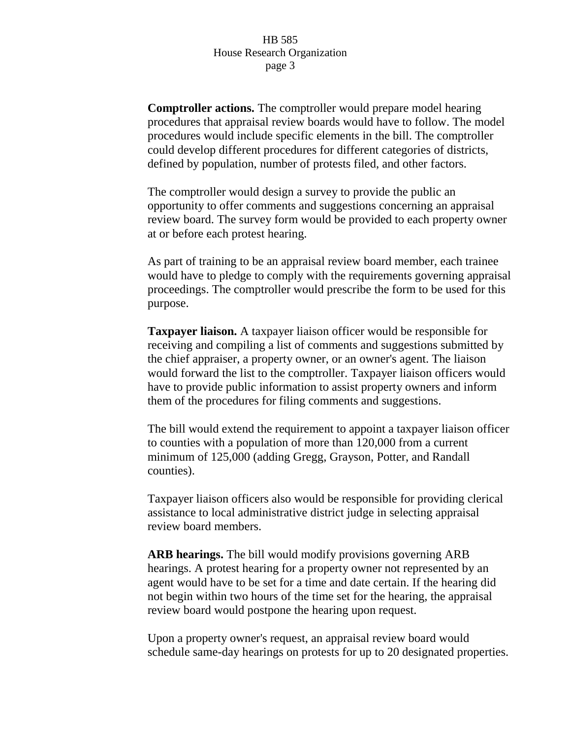**Comptroller actions.** The comptroller would prepare model hearing procedures that appraisal review boards would have to follow. The model procedures would include specific elements in the bill. The comptroller could develop different procedures for different categories of districts, defined by population, number of protests filed, and other factors.

The comptroller would design a survey to provide the public an opportunity to offer comments and suggestions concerning an appraisal review board. The survey form would be provided to each property owner at or before each protest hearing.

As part of training to be an appraisal review board member, each trainee would have to pledge to comply with the requirements governing appraisal proceedings. The comptroller would prescribe the form to be used for this purpose.

**Taxpayer liaison.** A taxpayer liaison officer would be responsible for receiving and compiling a list of comments and suggestions submitted by the chief appraiser, a property owner, or an owner's agent. The liaison would forward the list to the comptroller. Taxpayer liaison officers would have to provide public information to assist property owners and inform them of the procedures for filing comments and suggestions.

The bill would extend the requirement to appoint a taxpayer liaison officer to counties with a population of more than 120,000 from a current minimum of 125,000 (adding Gregg, Grayson, Potter, and Randall counties).

Taxpayer liaison officers also would be responsible for providing clerical assistance to local administrative district judge in selecting appraisal review board members.

**ARB hearings.** The bill would modify provisions governing ARB hearings. A protest hearing for a property owner not represented by an agent would have to be set for a time and date certain. If the hearing did not begin within two hours of the time set for the hearing, the appraisal review board would postpone the hearing upon request.

Upon a property owner's request, an appraisal review board would schedule same-day hearings on protests for up to 20 designated properties.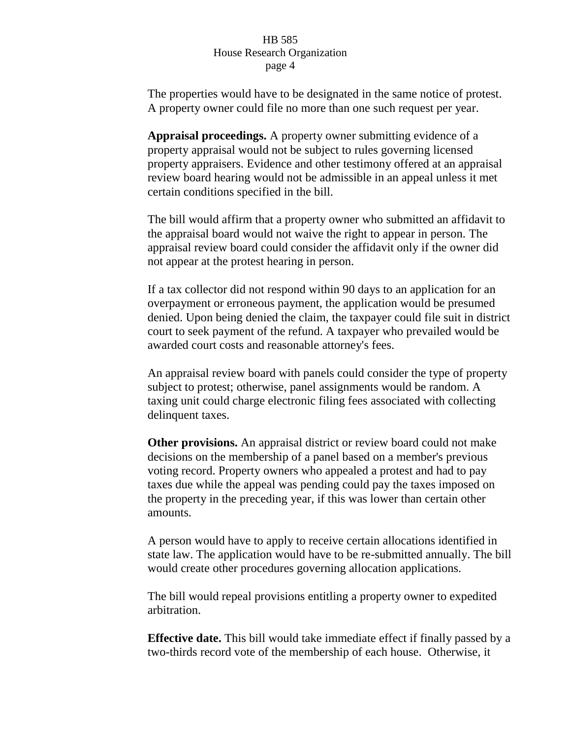The properties would have to be designated in the same notice of protest. A property owner could file no more than one such request per year.

**Appraisal proceedings.** A property owner submitting evidence of a property appraisal would not be subject to rules governing licensed property appraisers. Evidence and other testimony offered at an appraisal review board hearing would not be admissible in an appeal unless it met certain conditions specified in the bill.

The bill would affirm that a property owner who submitted an affidavit to the appraisal board would not waive the right to appear in person. The appraisal review board could consider the affidavit only if the owner did not appear at the protest hearing in person.

If a tax collector did not respond within 90 days to an application for an overpayment or erroneous payment, the application would be presumed denied. Upon being denied the claim, the taxpayer could file suit in district court to seek payment of the refund. A taxpayer who prevailed would be awarded court costs and reasonable attorney's fees.

An appraisal review board with panels could consider the type of property subject to protest; otherwise, panel assignments would be random. A taxing unit could charge electronic filing fees associated with collecting delinquent taxes.

**Other provisions.** An appraisal district or review board could not make decisions on the membership of a panel based on a member's previous voting record. Property owners who appealed a protest and had to pay taxes due while the appeal was pending could pay the taxes imposed on the property in the preceding year, if this was lower than certain other amounts.

A person would have to apply to receive certain allocations identified in state law. The application would have to be re-submitted annually. The bill would create other procedures governing allocation applications.

The bill would repeal provisions entitling a property owner to expedited arbitration.

**Effective date.** This bill would take immediate effect if finally passed by a two-thirds record vote of the membership of each house. Otherwise, it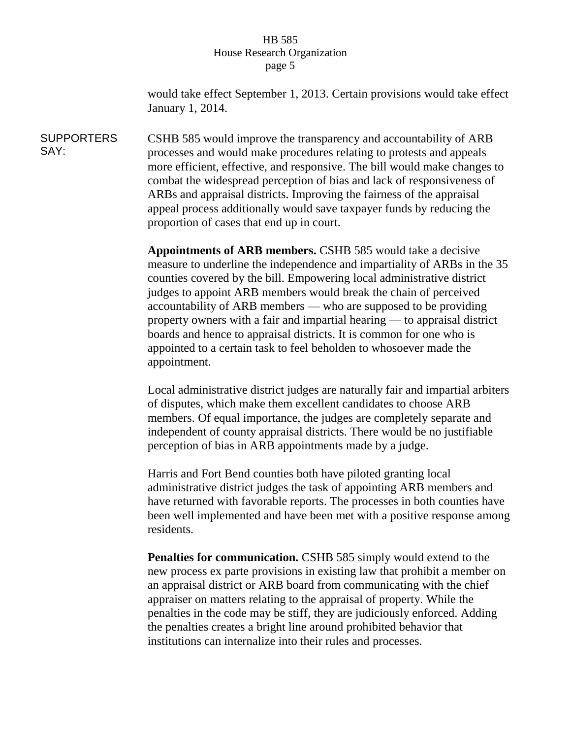would take effect September 1, 2013. Certain provisions would take effect January 1, 2014.

**SUPPORTERS** SAY: CSHB 585 would improve the transparency and accountability of ARB processes and would make procedures relating to protests and appeals more efficient, effective, and responsive. The bill would make changes to combat the widespread perception of bias and lack of responsiveness of ARBs and appraisal districts. Improving the fairness of the appraisal appeal process additionally would save taxpayer funds by reducing the proportion of cases that end up in court.

> **Appointments of ARB members.** CSHB 585 would take a decisive measure to underline the independence and impartiality of ARBs in the 35 counties covered by the bill. Empowering local administrative district judges to appoint ARB members would break the chain of perceived accountability of ARB members — who are supposed to be providing property owners with a fair and impartial hearing — to appraisal district boards and hence to appraisal districts. It is common for one who is appointed to a certain task to feel beholden to whosoever made the appointment.

> Local administrative district judges are naturally fair and impartial arbiters of disputes, which make them excellent candidates to choose ARB members. Of equal importance, the judges are completely separate and independent of county appraisal districts. There would be no justifiable perception of bias in ARB appointments made by a judge.

> Harris and Fort Bend counties both have piloted granting local administrative district judges the task of appointing ARB members and have returned with favorable reports. The processes in both counties have been well implemented and have been met with a positive response among residents.

**Penalties for communication.** CSHB 585 simply would extend to the new process ex parte provisions in existing law that prohibit a member on an appraisal district or ARB board from communicating with the chief appraiser on matters relating to the appraisal of property. While the penalties in the code may be stiff, they are judiciously enforced. Adding the penalties creates a bright line around prohibited behavior that institutions can internalize into their rules and processes.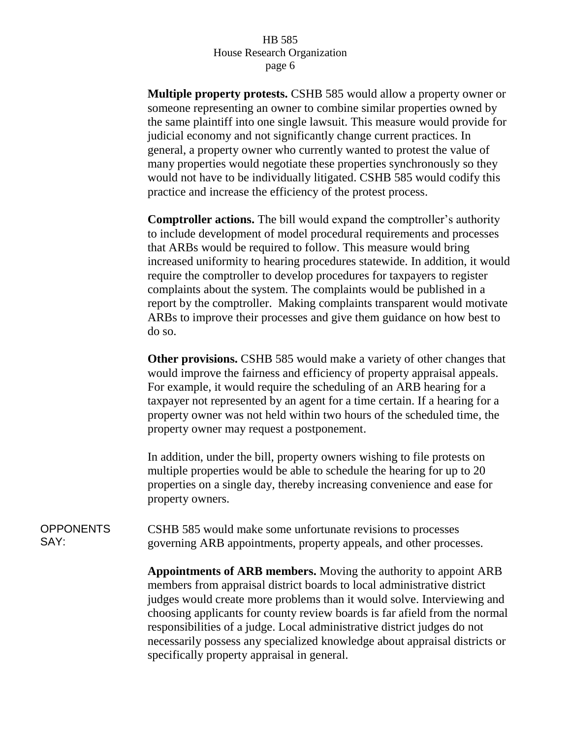**Multiple property protests.** CSHB 585 would allow a property owner or someone representing an owner to combine similar properties owned by the same plaintiff into one single lawsuit. This measure would provide for judicial economy and not significantly change current practices. In general, a property owner who currently wanted to protest the value of many properties would negotiate these properties synchronously so they would not have to be individually litigated. CSHB 585 would codify this practice and increase the efficiency of the protest process.

**Comptroller actions.** The bill would expand the comptroller's authority to include development of model procedural requirements and processes that ARBs would be required to follow. This measure would bring increased uniformity to hearing procedures statewide. In addition, it would require the comptroller to develop procedures for taxpayers to register complaints about the system. The complaints would be published in a report by the comptroller. Making complaints transparent would motivate ARBs to improve their processes and give them guidance on how best to do so.

**Other provisions.** CSHB 585 would make a variety of other changes that would improve the fairness and efficiency of property appraisal appeals. For example, it would require the scheduling of an ARB hearing for a taxpayer not represented by an agent for a time certain. If a hearing for a property owner was not held within two hours of the scheduled time, the property owner may request a postponement.

In addition, under the bill, property owners wishing to file protests on multiple properties would be able to schedule the hearing for up to 20 properties on a single day, thereby increasing convenience and ease for property owners.

**OPPONENTS** SAY: CSHB 585 would make some unfortunate revisions to processes governing ARB appointments, property appeals, and other processes.

> **Appointments of ARB members.** Moving the authority to appoint ARB members from appraisal district boards to local administrative district judges would create more problems than it would solve. Interviewing and choosing applicants for county review boards is far afield from the normal responsibilities of a judge. Local administrative district judges do not necessarily possess any specialized knowledge about appraisal districts or specifically property appraisal in general.